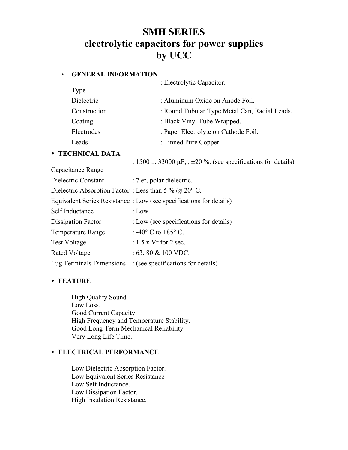# **SMH SERIES electrolytic capacitors for power supplies by UCC**

### • **GENERAL INFORMATION**

| GENEKAL INFUKMATIUN |                                                                     |
|---------------------|---------------------------------------------------------------------|
|                     | : Electrolytic Capacitor.                                           |
| Type                |                                                                     |
| Dielectric          | : Aluminum Oxide on Anode Foil.                                     |
| Construction        | : Round Tubular Type Metal Can, Radial Leads.                       |
| Coating             | : Black Vinyl Tube Wrapped.                                         |
| Electrodes          | : Paper Electrolyte on Cathode Foil.                                |
| Leads               | : Tinned Pure Copper.                                               |
| • TECHNICAL DATA    |                                                                     |
|                     | : 1500  33000 $\mu$ F, $\pm$ 20 %. (see specifications for details) |

Capacitance Range

| Dielectric Constant                                           | : 7 er, polar dielectric.                                           |
|---------------------------------------------------------------|---------------------------------------------------------------------|
| Dielectric Absorption Factor: Less than 5 % @ 20 $\degree$ C. |                                                                     |
|                                                               | Equivalent Series Resistance : Low (see specifications for details) |
| Self Inductance                                               | : Low                                                               |
| <b>Dissipation Factor</b>                                     | : Low (see specifications for details)                              |
| <b>Temperature Range</b>                                      | : -40 $^{\circ}$ C to +85 $^{\circ}$ C.                             |
| <b>Test Voltage</b>                                           | : $1.5$ x Vr for 2 sec.                                             |
| Rated Voltage                                                 | $: 63, 80 \& 100 \text{ VDC}.$                                      |
| Lug Terminals Dimensions                                      | : (see specifications for details)                                  |

# • **FEATURE**

High Quality Sound. Low Loss. Good Current Capacity. High Frequency and Temperature Stability. Good Long Term Mechanical Reliability. Very Long Life Time.

# • **ELECTRICAL PERFORMANCE**

Low Dielectric Absorption Factor. Low Equivalent Series Resistance Low Self Inductance. Low Dissipation Factor. High Insulation Resistance.